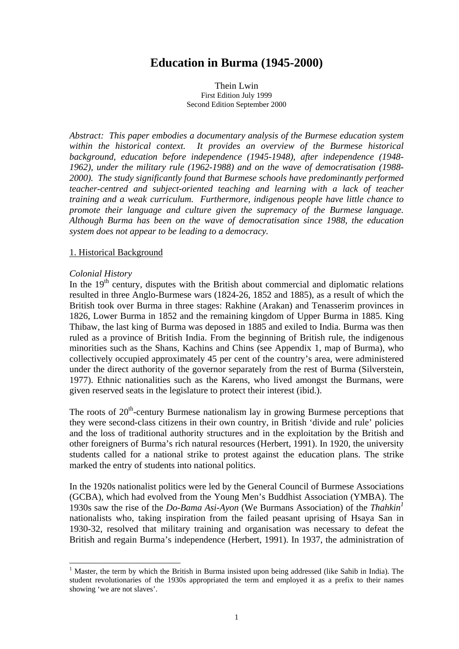# **Education in Burma (1945-2000)**

Thein Lwin First Edition July 1999 Second Edition September 2000

*Abstract: This paper embodies a documentary analysis of the Burmese education system within the historical context. It provides an overview of the Burmese historical background, education before independence (1945-1948), after independence (1948- 1962), under the military rule (1962-1988) and on the wave of democratisation (1988- 2000). The study significantly found that Burmese schools have predominantly performed teacher-centred and subject-oriented teaching and learning with a lack of teacher training and a weak curriculum. Furthermore, indigenous people have little chance to promote their language and culture given the supremacy of the Burmese language. Although Burma has been on the wave of democratisation since 1988, the education system does not appear to be leading to a democracy.* 

#### 1. Historical Background

#### *Colonial History*

 $\overline{\phantom{a}}$ 

In the  $19<sup>th</sup>$  century, disputes with the British about commercial and diplomatic relations resulted in three Anglo-Burmese wars (1824-26, 1852 and 1885), as a result of which the British took over Burma in three stages: Rakhine (Arakan) and Tenasserim provinces in 1826, Lower Burma in 1852 and the remaining kingdom of Upper Burma in 1885. King Thibaw, the last king of Burma was deposed in 1885 and exiled to India. Burma was then ruled as a province of British India. From the beginning of British rule, the indigenous minorities such as the Shans, Kachins and Chins (see Appendix 1, map of Burma), who collectively occupied approximately 45 per cent of the country's area, were administered under the direct authority of the governor separately from the rest of Burma (Silverstein, 1977). Ethnic nationalities such as the Karens, who lived amongst the Burmans, were given reserved seats in the legislature to protect their interest (ibid.).

The roots of  $20<sup>th</sup>$ -century Burmese nationalism lay in growing Burmese perceptions that they were second-class citizens in their own country, in British 'divide and rule' policies and the loss of traditional authority structures and in the exploitation by the British and other foreigners of Burma's rich natural resources (Herbert, 1991). In 1920, the university students called for a national strike to protest against the education plans. The strike marked the entry of students into national politics.

In the 1920s nationalist politics were led by the General Council of Burmese Associations (GCBA), which had evolved from the Young Men's Buddhist Association (YMBA). The 1930s saw the rise of the *Do-Bama Asi-Ayon* (We Burmans Association) of the *Thahkin1* nationalists who, taking inspiration from the failed peasant uprising of Hsaya San in 1930-32, resolved that military training and organisation was necessary to defeat the British and regain Burma's independence (Herbert, 1991). In 1937, the administration of

<sup>&</sup>lt;sup>1</sup> Master, the term by which the British in Burma insisted upon being addressed (like Sahib in India). The student revolutionaries of the 1930s appropriated the term and employed it as a prefix to their names showing 'we are not slaves'.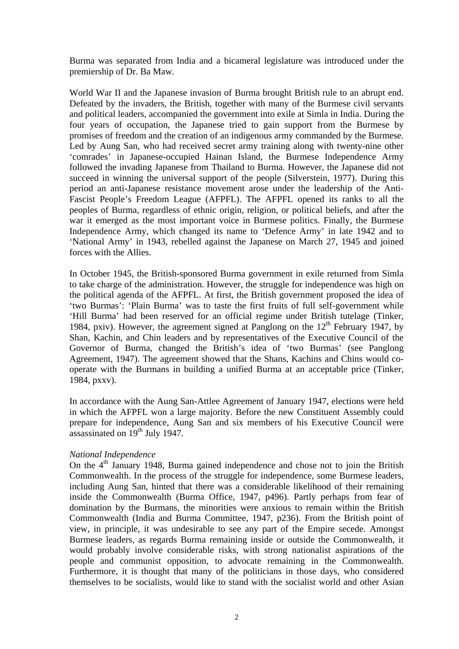Burma was separated from India and a bicameral legislature was introduced under the premiership of Dr. Ba Maw.

World War II and the Japanese invasion of Burma brought British rule to an abrupt end. Defeated by the invaders, the British, together with many of the Burmese civil servants and political leaders, accompanied the government into exile at Simla in India. During the four years of occupation, the Japanese tried to gain support from the Burmese by promises of freedom and the creation of an indigenous army commanded by the Burmese. Led by Aung San, who had received secret army training along with twenty-nine other 'comrades' in Japanese-occupied Hainan Island, the Burmese Independence Army followed the invading Japanese from Thailand to Burma. However, the Japanese did not succeed in winning the universal support of the people (Silverstein, 1977). During this period an anti-Japanese resistance movement arose under the leadership of the Anti-Fascist People's Freedom League (AFPFL). The AFPFL opened its ranks to all the peoples of Burma, regardless of ethnic origin, religion, or political beliefs, and after the war it emerged as the most important voice in Burmese politics. Finally, the Burmese Independence Army, which changed its name to 'Defence Army' in late 1942 and to 'National Army' in 1943, rebelled against the Japanese on March 27, 1945 and joined forces with the Allies.

In October 1945, the British-sponsored Burma government in exile returned from Simla to take charge of the administration. However, the struggle for independence was high on the political agenda of the AFPFL. At first, the British government proposed the idea of 'two Burmas': 'Plain Burma' was to taste the first fruits of full self-government while 'Hill Burma' had been reserved for an official regime under British tutelage (Tinker, 1984, pxiv). However, the agreement signed at Panglong on the  $12<sup>th</sup>$  February 1947, by Shan, Kachin, and Chin leaders and by representatives of the Executive Council of the Governor of Burma, changed the British's idea of 'two Burmas' (see Panglong Agreement, 1947). The agreement showed that the Shans, Kachins and Chins would cooperate with the Burmans in building a unified Burma at an acceptable price (Tinker, 1984, pxxv).

In accordance with the Aung San-Attlee Agreement of January 1947, elections were held in which the AFPFL won a large majority. Before the new Constituent Assembly could prepare for independence, Aung San and six members of his Executive Council were assassinated on  $19<sup>th</sup>$  July 1947.

# *National Independence*

On the  $4<sup>th</sup>$  January 1948, Burma gained independence and chose not to join the British Commonwealth. In the process of the struggle for independence, some Burmese leaders, including Aung San, hinted that there was a considerable likelihood of their remaining inside the Commonwealth (Burma Office, 1947, p496). Partly perhaps from fear of domination by the Burmans, the minorities were anxious to remain within the British Commonwealth (India and Burma Committee, 1947, p236). From the British point of view, in principle, it was undesirable to see any part of the Empire secede. Amongst Burmese leaders, as regards Burma remaining inside or outside the Commonwealth, it would probably involve considerable risks, with strong nationalist aspirations of the people and communist opposition, to advocate remaining in the Commonwealth. Furthermore, it is thought that many of the politicians in those days, who considered themselves to be socialists, would like to stand with the socialist world and other Asian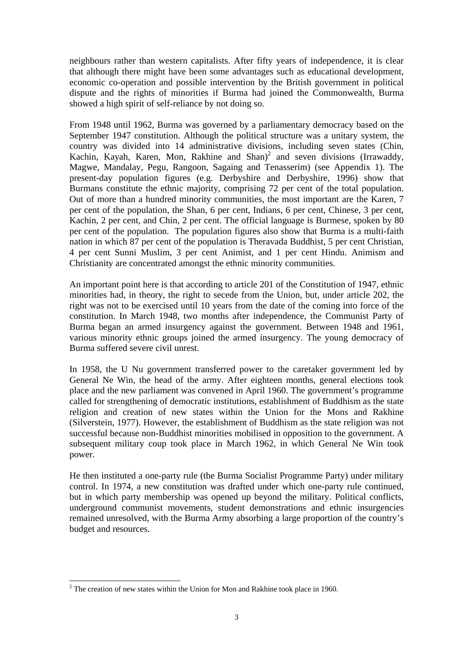neighbours rather than western capitalists. After fifty years of independence, it is clear that although there might have been some advantages such as educational development, economic co-operation and possible intervention by the British government in political dispute and the rights of minorities if Burma had joined the Commonwealth, Burma showed a high spirit of self-reliance by not doing so.

From 1948 until 1962, Burma was governed by a parliamentary democracy based on the September 1947 constitution. Although the political structure was a unitary system, the country was divided into 14 administrative divisions, including seven states (Chin, Kachin, Kayah, Karen, Mon, Rakhine and Shan)<sup>2</sup> and seven divisions (Irrawaddy, Magwe, Mandalay, Pegu, Rangoon, Sagaing and Tenasserim) (see Appendix 1). The present-day population figures (e.g. Derbyshire and Derbyshire, 1996) show that Burmans constitute the ethnic majority, comprising 72 per cent of the total population. Out of more than a hundred minority communities, the most important are the Karen, 7 per cent of the population, the Shan, 6 per cent, Indians, 6 per cent, Chinese, 3 per cent, Kachin, 2 per cent, and Chin, 2 per cent. The official language is Burmese, spoken by 80 per cent of the population. The population figures also show that Burma is a multi-faith nation in which 87 per cent of the population is Theravada Buddhist, 5 per cent Christian, 4 per cent Sunni Muslim, 3 per cent Animist, and 1 per cent Hindu. Animism and Christianity are concentrated amongst the ethnic minority communities.

An important point here is that according to article 201 of the Constitution of 1947, ethnic minorities had, in theory, the right to secede from the Union, but, under article 202, the right was not to be exercised until 10 years from the date of the coming into force of the constitution. In March 1948, two months after independence, the Communist Party of Burma began an armed insurgency against the government. Between 1948 and 1961, various minority ethnic groups joined the armed insurgency. The young democracy of Burma suffered severe civil unrest.

In 1958, the U Nu government transferred power to the caretaker government led by General Ne Win, the head of the army. After eighteen months, general elections took place and the new parliament was convened in April 1960. The government's programme called for strengthening of democratic institutions, establishment of Buddhism as the state religion and creation of new states within the Union for the Mons and Rakhine (Silverstein, 1977). However, the establishment of Buddhism as the state religion was not successful because non-Buddhist minorities mobilised in opposition to the government. A subsequent military coup took place in March 1962, in which General Ne Win took power.

He then instituted a one-party rule (the Burma Socialist Programme Party) under military control. In 1974, a new constitution was drafted under which one-party rule continued, but in which party membership was opened up beyond the military. Political conflicts, underground communist movements, student demonstrations and ethnic insurgencies remained unresolved, with the Burma Army absorbing a large proportion of the country's budget and resources.

l

 $2^2$  The creation of new states within the Union for Mon and Rakhine took place in 1960.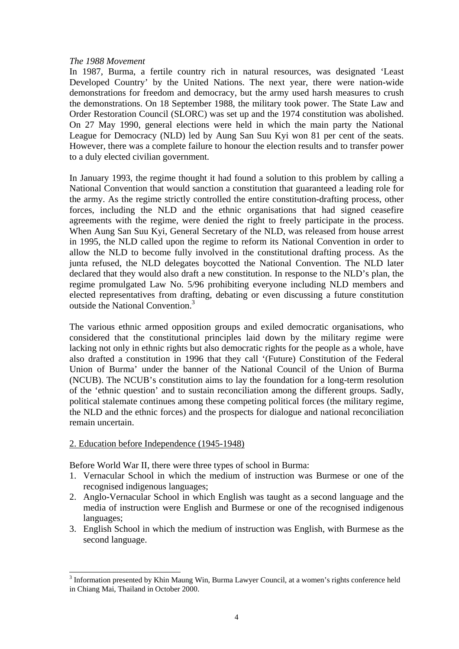#### *The 1988 Movement*

In 1987, Burma, a fertile country rich in natural resources, was designated 'Least Developed Country' by the United Nations. The next year, there were nation-wide demonstrations for freedom and democracy, but the army used harsh measures to crush the demonstrations. On 18 September 1988, the military took power. The State Law and Order Restoration Council (SLORC) was set up and the 1974 constitution was abolished. On 27 May 1990, general elections were held in which the main party the National League for Democracy (NLD) led by Aung San Suu Kyi won 81 per cent of the seats. However, there was a complete failure to honour the election results and to transfer power to a duly elected civilian government.

In January 1993, the regime thought it had found a solution to this problem by calling a National Convention that would sanction a constitution that guaranteed a leading role for the army. As the regime strictly controlled the entire constitution-drafting process, other forces, including the NLD and the ethnic organisations that had signed ceasefire agreements with the regime, were denied the right to freely participate in the process. When Aung San Suu Kyi, General Secretary of the NLD, was released from house arrest in 1995, the NLD called upon the regime to reform its National Convention in order to allow the NLD to become fully involved in the constitutional drafting process. As the junta refused, the NLD delegates boycotted the National Convention. The NLD later declared that they would also draft a new constitution. In response to the NLD's plan, the regime promulgated Law No. 5/96 prohibiting everyone including NLD members and elected representatives from drafting, debating or even discussing a future constitution outside the National Convention<sup>3</sup>

The various ethnic armed opposition groups and exiled democratic organisations, who considered that the constitutional principles laid down by the military regime were lacking not only in ethnic rights but also democratic rights for the people as a whole, have also drafted a constitution in 1996 that they call '(Future) Constitution of the Federal Union of Burma' under the banner of the National Council of the Union of Burma (NCUB). The NCUB's constitution aims to lay the foundation for a long-term resolution of the 'ethnic question' and to sustain reconciliation among the different groups. Sadly, political stalemate continues among these competing political forces (the military regime, the NLD and the ethnic forces) and the prospects for dialogue and national reconciliation remain uncertain.

# 2. Education before Independence (1945-1948)

 $\overline{\phantom{a}}$ 

Before World War II, there were three types of school in Burma:

- 1. Vernacular School in which the medium of instruction was Burmese or one of the recognised indigenous languages;
- 2. Anglo-Vernacular School in which English was taught as a second language and the media of instruction were English and Burmese or one of the recognised indigenous languages;
- 3. English School in which the medium of instruction was English, with Burmese as the second language.

<sup>&</sup>lt;sup>3</sup> Information presented by Khin Maung Win, Burma Lawyer Council, at a women's rights conference held in Chiang Mai, Thailand in October 2000.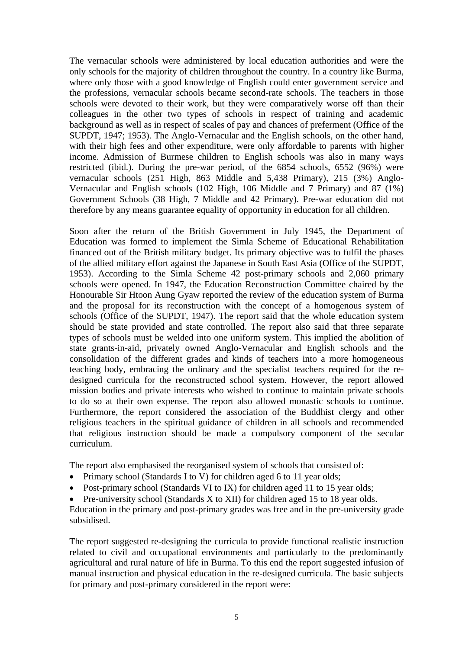The vernacular schools were administered by local education authorities and were the only schools for the majority of children throughout the country. In a country like Burma, where only those with a good knowledge of English could enter government service and the professions, vernacular schools became second-rate schools. The teachers in those schools were devoted to their work, but they were comparatively worse off than their colleagues in the other two types of schools in respect of training and academic background as well as in respect of scales of pay and chances of preferment (Office of the SUPDT, 1947; 1953). The Anglo-Vernacular and the English schools, on the other hand, with their high fees and other expenditure, were only affordable to parents with higher income. Admission of Burmese children to English schools was also in many ways restricted (ibid.). During the pre-war period, of the 6854 schools, 6552 (96%) were vernacular schools (251 High, 863 Middle and 5,438 Primary), 215 (3%) Anglo-Vernacular and English schools (102 High, 106 Middle and 7 Primary) and 87 (1%) Government Schools (38 High, 7 Middle and 42 Primary). Pre-war education did not therefore by any means guarantee equality of opportunity in education for all children.

Soon after the return of the British Government in July 1945, the Department of Education was formed to implement the Simla Scheme of Educational Rehabilitation financed out of the British military budget. Its primary objective was to fulfil the phases of the allied military effort against the Japanese in South East Asia (Office of the SUPDT, 1953). According to the Simla Scheme 42 post-primary schools and 2,060 primary schools were opened. In 1947, the Education Reconstruction Committee chaired by the Honourable Sir Htoon Aung Gyaw reported the review of the education system of Burma and the proposal for its reconstruction with the concept of a homogenous system of schools (Office of the SUPDT, 1947). The report said that the whole education system should be state provided and state controlled. The report also said that three separate types of schools must be welded into one uniform system. This implied the abolition of state grants-in-aid, privately owned Anglo-Vernacular and English schools and the consolidation of the different grades and kinds of teachers into a more homogeneous teaching body, embracing the ordinary and the specialist teachers required for the redesigned curricula for the reconstructed school system. However, the report allowed mission bodies and private interests who wished to continue to maintain private schools to do so at their own expense. The report also allowed monastic schools to continue. Furthermore, the report considered the association of the Buddhist clergy and other religious teachers in the spiritual guidance of children in all schools and recommended that religious instruction should be made a compulsory component of the secular curriculum.

The report also emphasised the reorganised system of schools that consisted of:

- Primary school (Standards I to V) for children aged 6 to 11 year olds;
- Post-primary school (Standards VI to IX) for children aged 11 to 15 year olds;
- Pre-university school (Standards X to XII) for children aged 15 to 18 year olds.

Education in the primary and post-primary grades was free and in the pre-university grade subsidised.

The report suggested re-designing the curricula to provide functional realistic instruction related to civil and occupational environments and particularly to the predominantly agricultural and rural nature of life in Burma. To this end the report suggested infusion of manual instruction and physical education in the re-designed curricula. The basic subjects for primary and post-primary considered in the report were: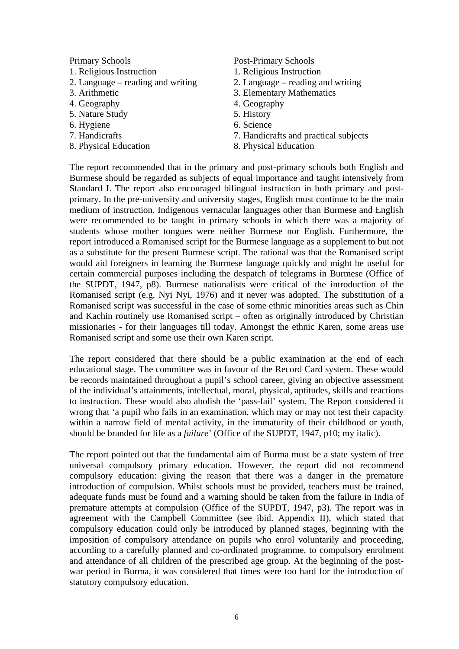# Primary Schools

- 1. Religious Instruction
- 2. Language reading and writing
- 3. Arithmetic
- 4. Geography
- 5. Nature Study
- 6. Hygiene
- 7. Handicrafts
- 8. Physical Education

#### Post-Primary Schools

- 1. Religious Instruction
- 2. Language reading and writing
- 3. Elementary Mathematics
- 4. Geography
- 5. History
- 6. Science
- 7. Handicrafts and practical subjects
- 8. Physical Education

The report recommended that in the primary and post-primary schools both English and Burmese should be regarded as subjects of equal importance and taught intensively from Standard I. The report also encouraged bilingual instruction in both primary and postprimary. In the pre-university and university stages, English must continue to be the main medium of instruction. Indigenous vernacular languages other than Burmese and English were recommended to be taught in primary schools in which there was a majority of students whose mother tongues were neither Burmese nor English. Furthermore, the report introduced a Romanised script for the Burmese language as a supplement to but not as a substitute for the present Burmese script. The rational was that the Romanised script would aid foreigners in learning the Burmese language quickly and might be useful for certain commercial purposes including the despatch of telegrams in Burmese (Office of the SUPDT, 1947, p8). Burmese nationalists were critical of the introduction of the Romanised script (e.g. Nyi Nyi, 1976) and it never was adopted. The substitution of a Romanised script was successful in the case of some ethnic minorities areas such as Chin and Kachin routinely use Romanised script – often as originally introduced by Christian missionaries - for their languages till today. Amongst the ethnic Karen, some areas use Romanised script and some use their own Karen script.

The report considered that there should be a public examination at the end of each educational stage. The committee was in favour of the Record Card system. These would be records maintained throughout a pupil's school career, giving an objective assessment of the individual's attainments, intellectual, moral, physical, aptitudes, skills and reactions to instruction. These would also abolish the 'pass-fail' system. The Report considered it wrong that 'a pupil who fails in an examination, which may or may not test their capacity within a narrow field of mental activity, in the immaturity of their childhood or youth, should be branded for life as a *failure*' (Office of the SUPDT, 1947, p10; my italic).

The report pointed out that the fundamental aim of Burma must be a state system of free universal compulsory primary education. However, the report did not recommend compulsory education: giving the reason that there was a danger in the premature introduction of compulsion. Whilst schools must be provided, teachers must be trained, adequate funds must be found and a warning should be taken from the failure in India of premature attempts at compulsion (Office of the SUPDT, 1947, p3). The report was in agreement with the Campbell Committee (see ibid. Appendix II), which stated that compulsory education could only be introduced by planned stages, beginning with the imposition of compulsory attendance on pupils who enrol voluntarily and proceeding, according to a carefully planned and co-ordinated programme, to compulsory enrolment and attendance of all children of the prescribed age group. At the beginning of the postwar period in Burma, it was considered that times were too hard for the introduction of statutory compulsory education.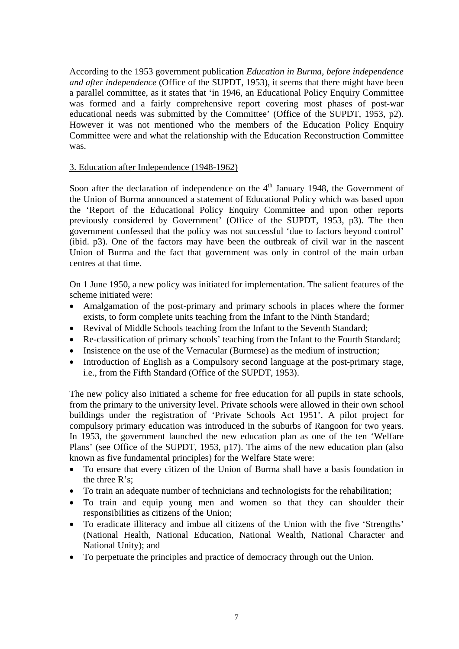According to the 1953 government publication *Education in Burma, before independence and after independence* (Office of the SUPDT, 1953), it seems that there might have been a parallel committee, as it states that 'in 1946, an Educational Policy Enquiry Committee was formed and a fairly comprehensive report covering most phases of post-war educational needs was submitted by the Committee' (Office of the SUPDT, 1953, p2). However it was not mentioned who the members of the Education Policy Enquiry Committee were and what the relationship with the Education Reconstruction Committee was.

# 3. Education after Independence (1948-1962)

Soon after the declaration of independence on the  $4<sup>th</sup>$  January 1948, the Government of the Union of Burma announced a statement of Educational Policy which was based upon the 'Report of the Educational Policy Enquiry Committee and upon other reports previously considered by Government' (Office of the SUPDT, 1953, p3). The then government confessed that the policy was not successful 'due to factors beyond control' (ibid. p3). One of the factors may have been the outbreak of civil war in the nascent Union of Burma and the fact that government was only in control of the main urban centres at that time.

On 1 June 1950, a new policy was initiated for implementation. The salient features of the scheme initiated were:

- Amalgamation of the post-primary and primary schools in places where the former exists, to form complete units teaching from the Infant to the Ninth Standard;
- Revival of Middle Schools teaching from the Infant to the Seventh Standard;
- Re-classification of primary schools' teaching from the Infant to the Fourth Standard;
- Insistence on the use of the Vernacular (Burmese) as the medium of instruction:
- Introduction of English as a Compulsory second language at the post-primary stage, i.e., from the Fifth Standard (Office of the SUPDT, 1953).

The new policy also initiated a scheme for free education for all pupils in state schools, from the primary to the university level. Private schools were allowed in their own school buildings under the registration of 'Private Schools Act 1951'. A pilot project for compulsory primary education was introduced in the suburbs of Rangoon for two years. In 1953, the government launched the new education plan as one of the ten 'Welfare Plans' (see Office of the SUPDT, 1953, p17). The aims of the new education plan (also known as five fundamental principles) for the Welfare State were:

- To ensure that every citizen of the Union of Burma shall have a basis foundation in the three R's;
- To train an adequate number of technicians and technologists for the rehabilitation;
- To train and equip young men and women so that they can shoulder their responsibilities as citizens of the Union;
- To eradicate illiteracy and imbue all citizens of the Union with the five 'Strengths' (National Health, National Education, National Wealth, National Character and National Unity); and
- To perpetuate the principles and practice of democracy through out the Union.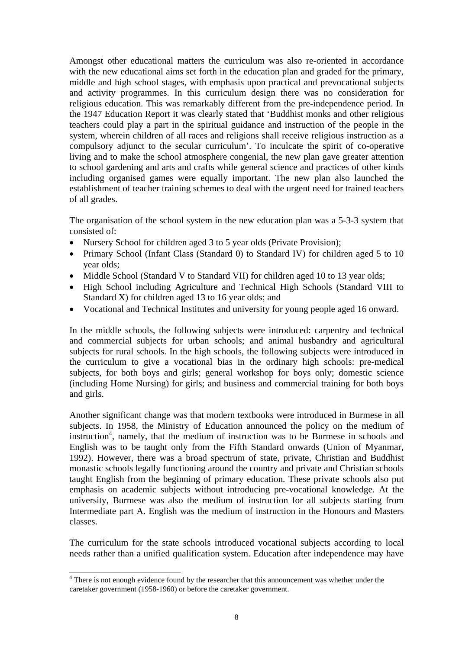Amongst other educational matters the curriculum was also re-oriented in accordance with the new educational aims set forth in the education plan and graded for the primary, middle and high school stages, with emphasis upon practical and prevocational subjects and activity programmes. In this curriculum design there was no consideration for religious education. This was remarkably different from the pre-independence period. In the 1947 Education Report it was clearly stated that 'Buddhist monks and other religious teachers could play a part in the spiritual guidance and instruction of the people in the system, wherein children of all races and religions shall receive religious instruction as a compulsory adjunct to the secular curriculum'. To inculcate the spirit of co-operative living and to make the school atmosphere congenial, the new plan gave greater attention to school gardening and arts and crafts while general science and practices of other kinds including organised games were equally important. The new plan also launched the establishment of teacher training schemes to deal with the urgent need for trained teachers of all grades.

The organisation of the school system in the new education plan was a 5-3-3 system that consisted of:

- Nursery School for children aged 3 to 5 year olds (Private Provision);
- Primary School (Infant Class (Standard 0) to Standard IV) for children aged 5 to 10 year olds;
- Middle School (Standard V to Standard VII) for children aged 10 to 13 year olds;
- High School including Agriculture and Technical High Schools (Standard VIII to Standard X) for children aged 13 to 16 year olds; and
- Vocational and Technical Institutes and university for young people aged 16 onward.

In the middle schools, the following subjects were introduced: carpentry and technical and commercial subjects for urban schools; and animal husbandry and agricultural subjects for rural schools. In the high schools, the following subjects were introduced in the curriculum to give a vocational bias in the ordinary high schools: pre-medical subjects, for both boys and girls; general workshop for boys only; domestic science (including Home Nursing) for girls; and business and commercial training for both boys and girls.

Another significant change was that modern textbooks were introduced in Burmese in all subjects. In 1958, the Ministry of Education announced the policy on the medium of instruction<sup>4</sup>, namely, that the medium of instruction was to be Burmese in schools and English was to be taught only from the Fifth Standard onwards (Union of Myanmar, 1992). However, there was a broad spectrum of state, private, Christian and Buddhist monastic schools legally functioning around the country and private and Christian schools taught English from the beginning of primary education. These private schools also put emphasis on academic subjects without introducing pre-vocational knowledge. At the university, Burmese was also the medium of instruction for all subjects starting from Intermediate part A. English was the medium of instruction in the Honours and Masters classes.

The curriculum for the state schools introduced vocational subjects according to local needs rather than a unified qualification system. Education after independence may have

<sup>&</sup>lt;sup>4</sup> There is not enough evidence found by the researcher that this announcement was whether under the caretaker government (1958-1960) or before the caretaker government.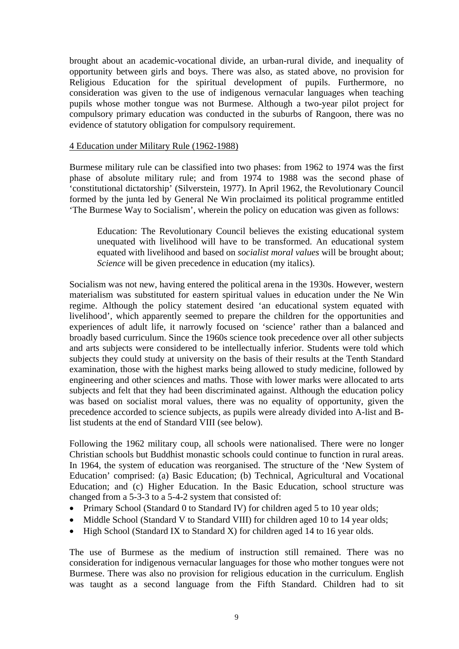brought about an academic-vocational divide, an urban-rural divide, and inequality of opportunity between girls and boys. There was also, as stated above, no provision for Religious Education for the spiritual development of pupils. Furthermore, no consideration was given to the use of indigenous vernacular languages when teaching pupils whose mother tongue was not Burmese. Although a two-year pilot project for compulsory primary education was conducted in the suburbs of Rangoon, there was no evidence of statutory obligation for compulsory requirement.

#### 4 Education under Military Rule (1962-1988)

Burmese military rule can be classified into two phases: from 1962 to 1974 was the first phase of absolute military rule; and from 1974 to 1988 was the second phase of 'constitutional dictatorship' (Silverstein, 1977). In April 1962, the Revolutionary Council formed by the junta led by General Ne Win proclaimed its political programme entitled 'The Burmese Way to Socialism', wherein the policy on education was given as follows:

Education: The Revolutionary Council believes the existing educational system unequated with livelihood will have to be transformed. An educational system equated with livelihood and based on *socialist moral values* will be brought about; *Science* will be given precedence in education (my italics).

Socialism was not new, having entered the political arena in the 1930s. However, western materialism was substituted for eastern spiritual values in education under the Ne Win regime. Although the policy statement desired 'an educational system equated with livelihood', which apparently seemed to prepare the children for the opportunities and experiences of adult life, it narrowly focused on 'science' rather than a balanced and broadly based curriculum. Since the 1960s science took precedence over all other subjects and arts subjects were considered to be intellectually inferior. Students were told which subjects they could study at university on the basis of their results at the Tenth Standard examination, those with the highest marks being allowed to study medicine, followed by engineering and other sciences and maths. Those with lower marks were allocated to arts subjects and felt that they had been discriminated against. Although the education policy was based on socialist moral values, there was no equality of opportunity, given the precedence accorded to science subjects, as pupils were already divided into A-list and Blist students at the end of Standard VIII (see below).

Following the 1962 military coup, all schools were nationalised. There were no longer Christian schools but Buddhist monastic schools could continue to function in rural areas. In 1964, the system of education was reorganised. The structure of the 'New System of Education' comprised: (a) Basic Education; (b) Technical, Agricultural and Vocational Education; and (c) Higher Education. In the Basic Education, school structure was changed from a 5-3-3 to a 5-4-2 system that consisted of:

- Primary School (Standard 0 to Standard IV) for children aged 5 to 10 year olds;
- Middle School (Standard V to Standard VIII) for children aged 10 to 14 year olds;
- High School (Standard IX to Standard X) for children aged 14 to 16 year olds.

The use of Burmese as the medium of instruction still remained. There was no consideration for indigenous vernacular languages for those who mother tongues were not Burmese. There was also no provision for religious education in the curriculum. English was taught as a second language from the Fifth Standard. Children had to sit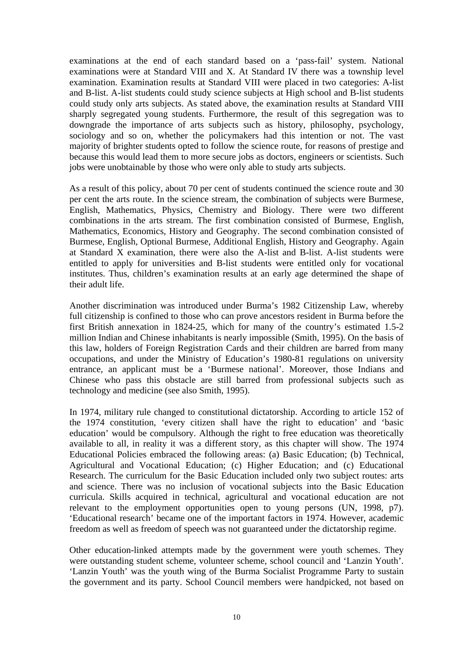examinations at the end of each standard based on a 'pass-fail' system. National examinations were at Standard VIII and X. At Standard IV there was a township level examination. Examination results at Standard VIII were placed in two categories: A-list and B-list. A-list students could study science subjects at High school and B-list students could study only arts subjects. As stated above, the examination results at Standard VIII sharply segregated young students. Furthermore, the result of this segregation was to downgrade the importance of arts subjects such as history, philosophy, psychology, sociology and so on, whether the policymakers had this intention or not. The vast majority of brighter students opted to follow the science route, for reasons of prestige and because this would lead them to more secure jobs as doctors, engineers or scientists. Such jobs were unobtainable by those who were only able to study arts subjects.

As a result of this policy, about 70 per cent of students continued the science route and 30 per cent the arts route. In the science stream, the combination of subjects were Burmese, English, Mathematics, Physics, Chemistry and Biology. There were two different combinations in the arts stream. The first combination consisted of Burmese, English, Mathematics, Economics, History and Geography. The second combination consisted of Burmese, English, Optional Burmese, Additional English, History and Geography. Again at Standard X examination, there were also the A-list and B-list. A-list students were entitled to apply for universities and B-list students were entitled only for vocational institutes. Thus, children's examination results at an early age determined the shape of their adult life.

Another discrimination was introduced under Burma's 1982 Citizenship Law, whereby full citizenship is confined to those who can prove ancestors resident in Burma before the first British annexation in 1824-25, which for many of the country's estimated 1.5-2 million Indian and Chinese inhabitants is nearly impossible (Smith, 1995). On the basis of this law, holders of Foreign Registration Cards and their children are barred from many occupations, and under the Ministry of Education's 1980-81 regulations on university entrance, an applicant must be a 'Burmese national'. Moreover, those Indians and Chinese who pass this obstacle are still barred from professional subjects such as technology and medicine (see also Smith, 1995).

In 1974, military rule changed to constitutional dictatorship. According to article 152 of the 1974 constitution, 'every citizen shall have the right to education' and 'basic education' would be compulsory. Although the right to free education was theoretically available to all, in reality it was a different story, as this chapter will show. The 1974 Educational Policies embraced the following areas: (a) Basic Education; (b) Technical, Agricultural and Vocational Education; (c) Higher Education; and (c) Educational Research. The curriculum for the Basic Education included only two subject routes: arts and science. There was no inclusion of vocational subjects into the Basic Education curricula. Skills acquired in technical, agricultural and vocational education are not relevant to the employment opportunities open to young persons (UN, 1998, p7). 'Educational research' became one of the important factors in 1974. However, academic freedom as well as freedom of speech was not guaranteed under the dictatorship regime.

Other education-linked attempts made by the government were youth schemes. They were outstanding student scheme, volunteer scheme, school council and 'Lanzin Youth'. 'Lanzin Youth' was the youth wing of the Burma Socialist Programme Party to sustain the government and its party. School Council members were handpicked, not based on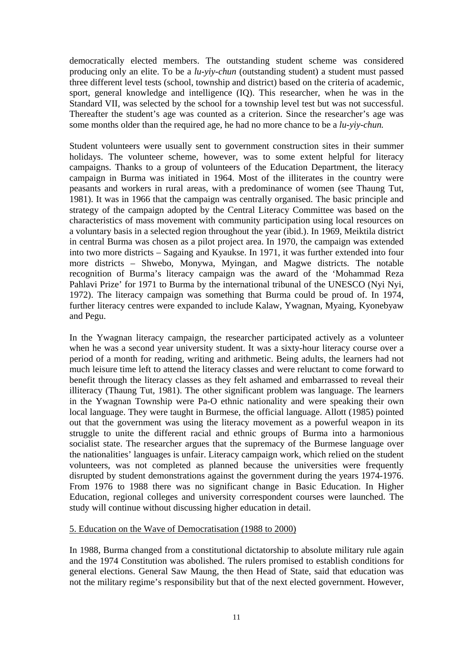democratically elected members. The outstanding student scheme was considered producing only an elite. To be a *lu-yiy-chun* (outstanding student) a student must passed three different level tests (school, township and district) based on the criteria of academic, sport, general knowledge and intelligence (IQ). This researcher, when he was in the Standard VII, was selected by the school for a township level test but was not successful. Thereafter the student's age was counted as a criterion. Since the researcher's age was some months older than the required age, he had no more chance to be a *lu-yiy-chun.* 

Student volunteers were usually sent to government construction sites in their summer holidays. The volunteer scheme, however, was to some extent helpful for literacy campaigns. Thanks to a group of volunteers of the Education Department, the literacy campaign in Burma was initiated in 1964. Most of the illiterates in the country were peasants and workers in rural areas, with a predominance of women (see Thaung Tut, 1981). It was in 1966 that the campaign was centrally organised. The basic principle and strategy of the campaign adopted by the Central Literacy Committee was based on the characteristics of mass movement with community participation using local resources on a voluntary basis in a selected region throughout the year (ibid.). In 1969, Meiktila district in central Burma was chosen as a pilot project area. In 1970, the campaign was extended into two more districts – Sagaing and Kyaukse. In 1971, it was further extended into four more districts – Shwebo, Monywa, Myingan, and Magwe districts. The notable recognition of Burma's literacy campaign was the award of the 'Mohammad Reza Pahlavi Prize' for 1971 to Burma by the international tribunal of the UNESCO (Nyi Nyi, 1972). The literacy campaign was something that Burma could be proud of. In 1974, further literacy centres were expanded to include Kalaw, Ywagnan, Myaing, Kyonebyaw and Pegu.

In the Ywagnan literacy campaign, the researcher participated actively as a volunteer when he was a second year university student. It was a sixty-hour literacy course over a period of a month for reading, writing and arithmetic. Being adults, the learners had not much leisure time left to attend the literacy classes and were reluctant to come forward to benefit through the literacy classes as they felt ashamed and embarrassed to reveal their illiteracy (Thaung Tut, 1981). The other significant problem was language. The learners in the Ywagnan Township were Pa-O ethnic nationality and were speaking their own local language. They were taught in Burmese, the official language. Allott (1985) pointed out that the government was using the literacy movement as a powerful weapon in its struggle to unite the different racial and ethnic groups of Burma into a harmonious socialist state. The researcher argues that the supremacy of the Burmese language over the nationalities' languages is unfair. Literacy campaign work, which relied on the student volunteers, was not completed as planned because the universities were frequently disrupted by student demonstrations against the government during the years 1974-1976. From 1976 to 1988 there was no significant change in Basic Education. In Higher Education, regional colleges and university correspondent courses were launched. The study will continue without discussing higher education in detail.

# 5. Education on the Wave of Democratisation (1988 to 2000)

In 1988, Burma changed from a constitutional dictatorship to absolute military rule again and the 1974 Constitution was abolished. The rulers promised to establish conditions for general elections. General Saw Maung, the then Head of State, said that education was not the military regime's responsibility but that of the next elected government. However,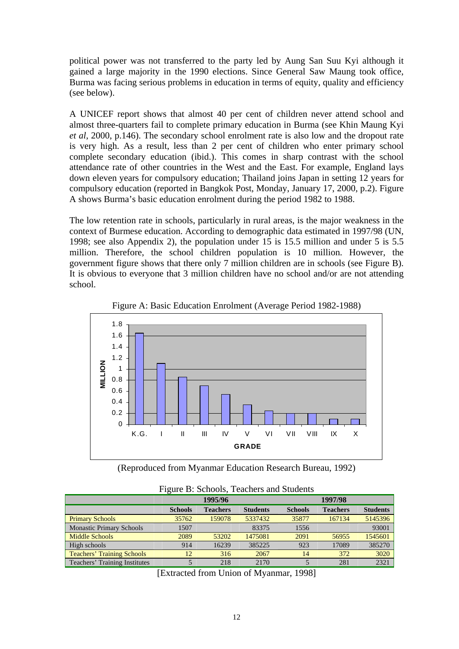political power was not transferred to the party led by Aung San Suu Kyi although it gained a large majority in the 1990 elections. Since General Saw Maung took office, Burma was facing serious problems in education in terms of equity, quality and efficiency (see below).

A UNICEF report shows that almost 40 per cent of children never attend school and almost three-quarters fail to complete primary education in Burma (see Khin Maung Kyi *et al*, 2000, p.146). The secondary school enrolment rate is also low and the dropout rate is very high. As a result, less than 2 per cent of children who enter primary school complete secondary education (ibid.). This comes in sharp contrast with the school attendance rate of other countries in the West and the East. For example, England lays down eleven years for compulsory education; Thailand joins Japan in setting 12 years for compulsory education (reported in Bangkok Post, Monday, January 17, 2000, p.2). Figure A shows Burma's basic education enrolment during the period 1982 to 1988.

The low retention rate in schools, particularly in rural areas, is the major weakness in the context of Burmese education. According to demographic data estimated in 1997/98 (UN, 1998; see also Appendix 2), the population under 15 is 15.5 million and under 5 is 5.5 million. Therefore, the school children population is 10 million. However, the government figure shows that there only 7 million children are in schools (see Figure B). It is obvious to everyone that 3 million children have no school and/or are not attending school.



Figure A: Basic Education Enrolment (Average Period 1982-1988)

(Reproduced from Myanmar Education Research Bureau, 1992)

| The me D. Denoon, Teachers and Dragents |                |                 |                 |                |                 |                 |  |  |
|-----------------------------------------|----------------|-----------------|-----------------|----------------|-----------------|-----------------|--|--|
|                                         | 1995/96        |                 |                 | 1997/98        |                 |                 |  |  |
|                                         | <b>Schools</b> | <b>Teachers</b> | <b>Students</b> | <b>Schools</b> | <b>Teachers</b> | <b>Students</b> |  |  |
| <b>Primary Schools</b>                  | 35762          | 159078          | 5337432         | 35877          | 167134          | 5145396         |  |  |
| <b>Monastic Primary Schools</b>         | 1507           |                 | 83375           | 1556           |                 | 93001           |  |  |
| <b>Middle Schools</b>                   | 2089           | 53202           | 1475081         | 2091           | 56955           | 1545601         |  |  |
| High schools                            | 914            | 16239           | 385225          | 923            | 17089           | 385270          |  |  |
| <b>Teachers' Training Schools</b>       | 12             | 316             | 2067            | 14             | 372             | 3020            |  |  |
| Teachers' Training Institutes           |                | 218             | 2170            |                | 281             | 2321            |  |  |

Figure B: Schools, Teachers and Students

[Extracted from Union of Myanmar, 1998]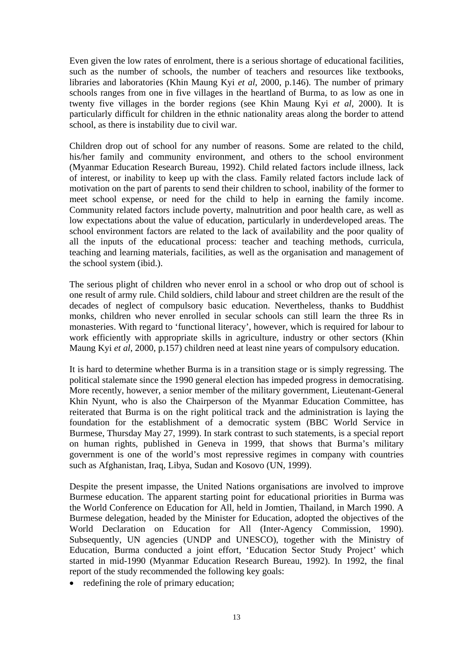Even given the low rates of enrolment, there is a serious shortage of educational facilities, such as the number of schools, the number of teachers and resources like textbooks, libraries and laboratories (Khin Maung Kyi *et al*, 2000, p.146). The number of primary schools ranges from one in five villages in the heartland of Burma, to as low as one in twenty five villages in the border regions (see Khin Maung Kyi *et al*, 2000). It is particularly difficult for children in the ethnic nationality areas along the border to attend school, as there is instability due to civil war.

Children drop out of school for any number of reasons. Some are related to the child, his/her family and community environment, and others to the school environment (Myanmar Education Research Bureau, 1992). Child related factors include illness, lack of interest, or inability to keep up with the class. Family related factors include lack of motivation on the part of parents to send their children to school, inability of the former to meet school expense, or need for the child to help in earning the family income. Community related factors include poverty, malnutrition and poor health care, as well as low expectations about the value of education, particularly in underdeveloped areas. The school environment factors are related to the lack of availability and the poor quality of all the inputs of the educational process: teacher and teaching methods, curricula, teaching and learning materials, facilities, as well as the organisation and management of the school system (ibid.).

The serious plight of children who never enrol in a school or who drop out of school is one result of army rule. Child soldiers, child labour and street children are the result of the decades of neglect of compulsory basic education. Nevertheless, thanks to Buddhist monks, children who never enrolled in secular schools can still learn the three Rs in monasteries. With regard to 'functional literacy', however, which is required for labour to work efficiently with appropriate skills in agriculture, industry or other sectors (Khin Maung Kyi *et al*, 2000, p.157) children need at least nine years of compulsory education.

It is hard to determine whether Burma is in a transition stage or is simply regressing. The political stalemate since the 1990 general election has impeded progress in democratising. More recently, however, a senior member of the military government, Lieutenant-General Khin Nyunt, who is also the Chairperson of the Myanmar Education Committee, has reiterated that Burma is on the right political track and the administration is laying the foundation for the establishment of a democratic system (BBC World Service in Burmese, Thursday May 27, 1999). In stark contrast to such statements, is a special report on human rights, published in Geneva in 1999, that shows that Burma's military government is one of the world's most repressive regimes in company with countries such as Afghanistan, Iraq, Libya, Sudan and Kosovo (UN, 1999).

Despite the present impasse, the United Nations organisations are involved to improve Burmese education. The apparent starting point for educational priorities in Burma was the World Conference on Education for All, held in Jomtien, Thailand, in March 1990. A Burmese delegation, headed by the Minister for Education, adopted the objectives of the World Declaration on Education for All (Inter-Agency Commission, 1990). Subsequently, UN agencies (UNDP and UNESCO), together with the Ministry of Education, Burma conducted a joint effort, 'Education Sector Study Project' which started in mid-1990 (Myanmar Education Research Bureau, 1992). In 1992, the final report of the study recommended the following key goals:

• redefining the role of primary education;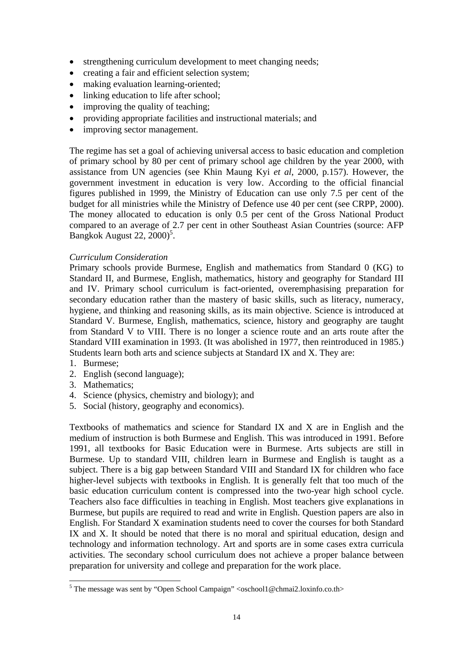- strengthening curriculum development to meet changing needs;
- creating a fair and efficient selection system;
- making evaluation learning-oriented;
- linking education to life after school;
- improving the quality of teaching:
- providing appropriate facilities and instructional materials; and
- improving sector management.

The regime has set a goal of achieving universal access to basic education and completion of primary school by 80 per cent of primary school age children by the year 2000, with assistance from UN agencies (see Khin Maung Kyi *et al*, 2000, p.157). However, the government investment in education is very low. According to the official financial figures published in 1999, the Ministry of Education can use only 7.5 per cent of the budget for all ministries while the Ministry of Defence use 40 per cent (see CRPP, 2000). The money allocated to education is only 0.5 per cent of the Gross National Product compared to an average of 2.7 per cent in other Southeast Asian Countries (source: AFP Bangkok August 22,  $2000$ <sup>5</sup>.

# *Curriculum Consideration*

Primary schools provide Burmese, English and mathematics from Standard 0 (KG) to Standard II, and Burmese, English, mathematics, history and geography for Standard III and IV. Primary school curriculum is fact-oriented, overemphasising preparation for secondary education rather than the mastery of basic skills, such as literacy, numeracy, hygiene, and thinking and reasoning skills, as its main objective. Science is introduced at Standard V. Burmese, English, mathematics, science, history and geography are taught from Standard V to VIII. There is no longer a science route and an arts route after the Standard VIII examination in 1993. (It was abolished in 1977, then reintroduced in 1985.) Students learn both arts and science subjects at Standard IX and X. They are:

- 1. Burmese;
- 2. English (second language);
- 3. Mathematics;
- 4. Science (physics, chemistry and biology); and
- 5. Social (history, geography and economics).

Textbooks of mathematics and science for Standard IX and X are in English and the medium of instruction is both Burmese and English. This was introduced in 1991. Before 1991, all textbooks for Basic Education were in Burmese. Arts subjects are still in Burmese. Up to standard VIII, children learn in Burmese and English is taught as a subject. There is a big gap between Standard VIII and Standard IX for children who face higher-level subjects with textbooks in English. It is generally felt that too much of the basic education curriculum content is compressed into the two-year high school cycle. Teachers also face difficulties in teaching in English. Most teachers give explanations in Burmese, but pupils are required to read and write in English. Question papers are also in English. For Standard X examination students need to cover the courses for both Standard IX and X. It should be noted that there is no moral and spiritual education, design and technology and information technology. Art and sports are in some cases extra curricula activities. The secondary school curriculum does not achieve a proper balance between preparation for university and college and preparation for the work place.

<sup>&</sup>lt;sup>5</sup> The message was sent by "Open School Campaign" <oschool1@chmai2.loxinfo.co.th>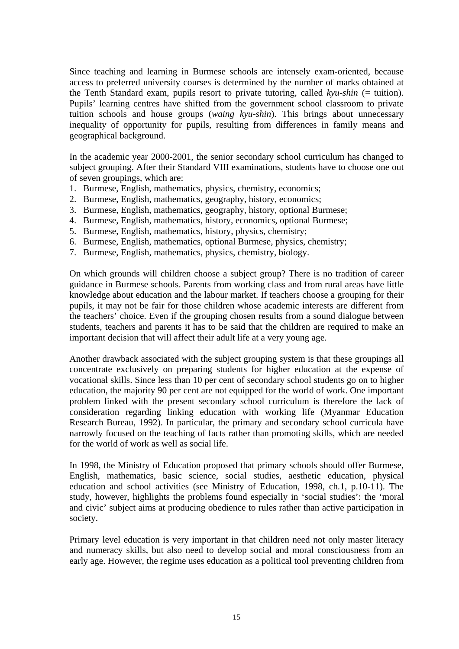Since teaching and learning in Burmese schools are intensely exam-oriented, because access to preferred university courses is determined by the number of marks obtained at the Tenth Standard exam, pupils resort to private tutoring, called *kyu-shin* (= tuition). Pupils' learning centres have shifted from the government school classroom to private tuition schools and house groups (*waing kyu-shin*). This brings about unnecessary inequality of opportunity for pupils, resulting from differences in family means and geographical background.

In the academic year 2000-2001, the senior secondary school curriculum has changed to subject grouping. After their Standard VIII examinations, students have to choose one out of seven groupings, which are:

- 1. Burmese, English, mathematics, physics, chemistry, economics;
- 2. Burmese, English, mathematics, geography, history, economics;
- 3. Burmese, English, mathematics, geography, history, optional Burmese;
- 4. Burmese, English, mathematics, history, economics, optional Burmese;
- 5. Burmese, English, mathematics, history, physics, chemistry;
- 6. Burmese, English, mathematics, optional Burmese, physics, chemistry;
- 7. Burmese, English, mathematics, physics, chemistry, biology.

On which grounds will children choose a subject group? There is no tradition of career guidance in Burmese schools. Parents from working class and from rural areas have little knowledge about education and the labour market. If teachers choose a grouping for their pupils, it may not be fair for those children whose academic interests are different from the teachers' choice. Even if the grouping chosen results from a sound dialogue between students, teachers and parents it has to be said that the children are required to make an important decision that will affect their adult life at a very young age.

Another drawback associated with the subject grouping system is that these groupings all concentrate exclusively on preparing students for higher education at the expense of vocational skills. Since less than 10 per cent of secondary school students go on to higher education, the majority 90 per cent are not equipped for the world of work. One important problem linked with the present secondary school curriculum is therefore the lack of consideration regarding linking education with working life (Myanmar Education Research Bureau, 1992). In particular, the primary and secondary school curricula have narrowly focused on the teaching of facts rather than promoting skills, which are needed for the world of work as well as social life.

In 1998, the Ministry of Education proposed that primary schools should offer Burmese, English, mathematics, basic science, social studies, aesthetic education, physical education and school activities (see Ministry of Education, 1998, ch.1, p.10-11). The study, however, highlights the problems found especially in 'social studies': the 'moral and civic' subject aims at producing obedience to rules rather than active participation in society.

Primary level education is very important in that children need not only master literacy and numeracy skills, but also need to develop social and moral consciousness from an early age. However, the regime uses education as a political tool preventing children from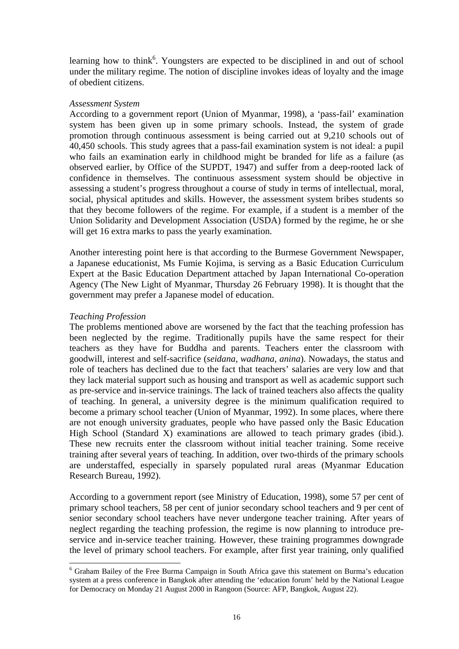learning how to think<sup>6</sup>. Youngsters are expected to be disciplined in and out of school under the military regime. The notion of discipline invokes ideas of loyalty and the image of obedient citizens.

### *Assessment System*

According to a government report (Union of Myanmar, 1998), a 'pass-fail' examination system has been given up in some primary schools. Instead, the system of grade promotion through continuous assessment is being carried out at 9,210 schools out of 40,450 schools. This study agrees that a pass-fail examination system is not ideal: a pupil who fails an examination early in childhood might be branded for life as a failure (as observed earlier, by Office of the SUPDT, 1947) and suffer from a deep-rooted lack of confidence in themselves. The continuous assessment system should be objective in assessing a student's progress throughout a course of study in terms of intellectual, moral, social, physical aptitudes and skills. However, the assessment system bribes students so that they become followers of the regime. For example, if a student is a member of the Union Solidarity and Development Association (USDA) formed by the regime, he or she will get 16 extra marks to pass the yearly examination.

Another interesting point here is that according to the Burmese Government Newspaper, a Japanese educationist, Ms Fumie Kojima, is serving as a Basic Education Curriculum Expert at the Basic Education Department attached by Japan International Co-operation Agency (The New Light of Myanmar, Thursday 26 February 1998). It is thought that the government may prefer a Japanese model of education.

# *Teaching Profession*

The problems mentioned above are worsened by the fact that the teaching profession has been neglected by the regime. Traditionally pupils have the same respect for their teachers as they have for Buddha and parents. Teachers enter the classroom with goodwill, interest and self-sacrifice (*seidana, wadhana, anina*). Nowadays, the status and role of teachers has declined due to the fact that teachers' salaries are very low and that they lack material support such as housing and transport as well as academic support such as pre-service and in-service trainings. The lack of trained teachers also affects the quality of teaching. In general, a university degree is the minimum qualification required to become a primary school teacher (Union of Myanmar, 1992). In some places, where there are not enough university graduates, people who have passed only the Basic Education High School (Standard X) examinations are allowed to teach primary grades (ibid.). These new recruits enter the classroom without initial teacher training. Some receive training after several years of teaching. In addition, over two-thirds of the primary schools are understaffed, especially in sparsely populated rural areas (Myanmar Education Research Bureau, 1992).

According to a government report (see Ministry of Education, 1998), some 57 per cent of primary school teachers, 58 per cent of junior secondary school teachers and 9 per cent of senior secondary school teachers have never undergone teacher training. After years of neglect regarding the teaching profession, the regime is now planning to introduce preservice and in-service teacher training. However, these training programmes downgrade the level of primary school teachers. For example, after first year training, only qualified

<sup>&</sup>lt;sup>6</sup> Graham Bailey of the Free Burma Campaign in South Africa gave this statement on Burma's education system at a press conference in Bangkok after attending the 'education forum' held by the National League for Democracy on Monday 21 August 2000 in Rangoon (Source: AFP, Bangkok, August 22).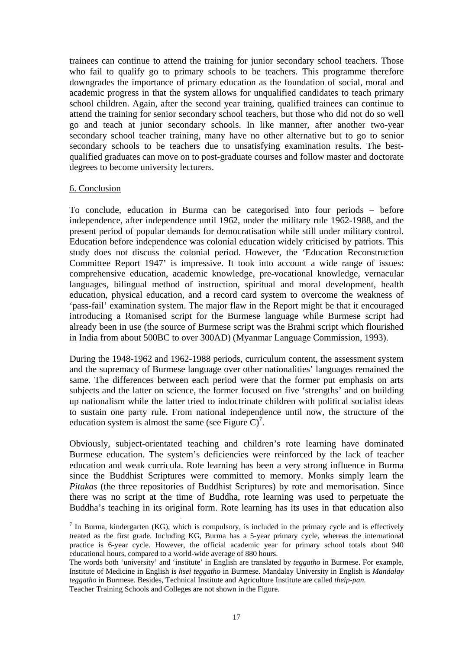trainees can continue to attend the training for junior secondary school teachers. Those who fail to qualify go to primary schools to be teachers. This programme therefore downgrades the importance of primary education as the foundation of social, moral and academic progress in that the system allows for unqualified candidates to teach primary school children. Again, after the second year training, qualified trainees can continue to attend the training for senior secondary school teachers, but those who did not do so well go and teach at junior secondary schools. In like manner, after another two-year secondary school teacher training, many have no other alternative but to go to senior secondary schools to be teachers due to unsatisfying examination results. The bestqualified graduates can move on to post-graduate courses and follow master and doctorate degrees to become university lecturers.

#### 6. Conclusion

 $\overline{\phantom{a}}$ 

To conclude, education in Burma can be categorised into four periods – before independence, after independence until 1962, under the military rule 1962-1988, and the present period of popular demands for democratisation while still under military control. Education before independence was colonial education widely criticised by patriots. This study does not discuss the colonial period. However, the 'Education Reconstruction Committee Report 1947' is impressive. It took into account a wide range of issues: comprehensive education, academic knowledge, pre-vocational knowledge, vernacular languages, bilingual method of instruction, spiritual and moral development, health education, physical education, and a record card system to overcome the weakness of 'pass-fail' examination system. The major flaw in the Report might be that it encouraged introducing a Romanised script for the Burmese language while Burmese script had already been in use (the source of Burmese script was the Brahmi script which flourished in India from about 500BC to over 300AD) (Myanmar Language Commission, 1993).

During the 1948-1962 and 1962-1988 periods, curriculum content, the assessment system and the supremacy of Burmese language over other nationalities' languages remained the same. The differences between each period were that the former put emphasis on arts subjects and the latter on science, the former focused on five 'strengths' and on building up nationalism while the latter tried to indoctrinate children with political socialist ideas to sustain one party rule. From national independence until now, the structure of the education system is almost the same (see Figure C)<sup>7</sup>.

Obviously, subject-orientated teaching and children's rote learning have dominated Burmese education. The system's deficiencies were reinforced by the lack of teacher education and weak curricula. Rote learning has been a very strong influence in Burma since the Buddhist Scriptures were committed to memory. Monks simply learn the *Pitakas* (the three repositories of Buddhist Scriptures) by rote and memorisation. Since there was no script at the time of Buddha, rote learning was used to perpetuate the Buddha's teaching in its original form. Rote learning has its uses in that education also

 $<sup>7</sup>$  In Burma, kindergarten (KG), which is compulsory, is included in the primary cycle and is effectively</sup> treated as the first grade. Including KG, Burma has a 5-year primary cycle, whereas the international practice is 6-year cycle. However, the official academic year for primary school totals about 940 educational hours, compared to a world-wide average of 880 hours.

The words both 'university' and 'institute' in English are translated by *teggatho* in Burmese. For example, Institute of Medicine in English is *hsei teggatho* in Burmese. Mandalay University in English is *Mandalay teggatho* in Burmese. Besides, Technical Institute and Agriculture Institute are called *theip-pan.* Teacher Training Schools and Colleges are not shown in the Figure.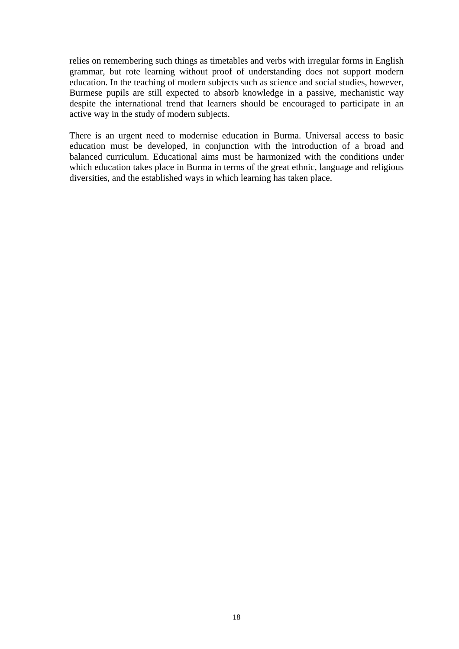relies on remembering such things as timetables and verbs with irregular forms in English grammar, but rote learning without proof of understanding does not support modern education. In the teaching of modern subjects such as science and social studies, however, Burmese pupils are still expected to absorb knowledge in a passive, mechanistic way despite the international trend that learners should be encouraged to participate in an active way in the study of modern subjects.

There is an urgent need to modernise education in Burma. Universal access to basic education must be developed, in conjunction with the introduction of a broad and balanced curriculum. Educational aims must be harmonized with the conditions under which education takes place in Burma in terms of the great ethnic, language and religious diversities, and the established ways in which learning has taken place.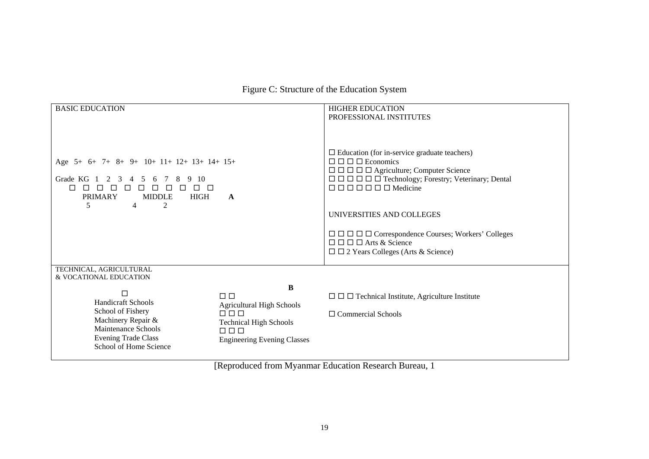Figure C: Structure of the Education System

| <b>BASIC EDUCATION</b>                                                                                                                                                                                                                                           |                                                                                                   | <b>HIGHER EDUCATION</b>                                                                                                                                                                                                                                                                                                                                                                                                                                                                      |  |  |
|------------------------------------------------------------------------------------------------------------------------------------------------------------------------------------------------------------------------------------------------------------------|---------------------------------------------------------------------------------------------------|----------------------------------------------------------------------------------------------------------------------------------------------------------------------------------------------------------------------------------------------------------------------------------------------------------------------------------------------------------------------------------------------------------------------------------------------------------------------------------------------|--|--|
| Age 5+ 6+ 7+ 8+ 9+ 10+ 11+ 12+ 13+ 14+ 15+<br>Grade KG<br>-10<br>5<br>3<br>6 7<br>8<br>$\Box$<br>$\Box$<br>$\Box$<br>$\Box$<br>$\Box$<br>$\Box$<br>$\Box$<br>$\Box$<br>$\Box$<br><b>MIDDLE</b><br><b>HIGH</b><br><b>PRIMARY</b><br>A<br>5<br>2<br>$\overline{4}$ |                                                                                                   | PROFESSIONAL INSTITUTES<br>$\Box$ Education (for in-service graduate teachers)<br>$\Box$ $\Box$ $\Box$ Economics<br>$\Box$ $\Box$ $\Box$ $\Box$ $\Box$ Agriculture; Computer Science<br>$\Box$ $\Box$ $\Box$ $\Box$ $\Box$ Technology; Forestry; Veterinary; Dental<br>UNIVERSITIES AND COLLEGES<br>$\Box$ $\Box$ $\Box$ $\Box \Box \Box$ $Correspondence Courses; Workers' Colleges$<br>$\Box$ $\Box$ $\Box$ $\Box$ Arts & Science<br>$\square$ $\square$ 2 Years Colleges (Arts & Science) |  |  |
| TECHNICAL, AGRICULTURAL<br>& VOCATIONAL EDUCATION                                                                                                                                                                                                                |                                                                                                   |                                                                                                                                                                                                                                                                                                                                                                                                                                                                                              |  |  |
| □<br><b>Handicraft Schools</b><br>School of Fishery<br>Machinery Repair &                                                                                                                                                                                        | B<br>$\Box$ $\Box$<br><b>Agricultural High Schools</b><br>$\Box$<br><b>Technical High Schools</b> | $\Box$ $\Box$ Technical Institute, Agriculture Institute<br>$\Box$ Commercial Schools                                                                                                                                                                                                                                                                                                                                                                                                        |  |  |
| Maintenance Schools<br><b>Evening Trade Class</b><br>School of Home Science                                                                                                                                                                                      | $\Box$ $\Box$<br><b>Engineering Evening Classes</b>                                               |                                                                                                                                                                                                                                                                                                                                                                                                                                                                                              |  |  |

[Reproduced from Myanmar Education Research Bureau, 1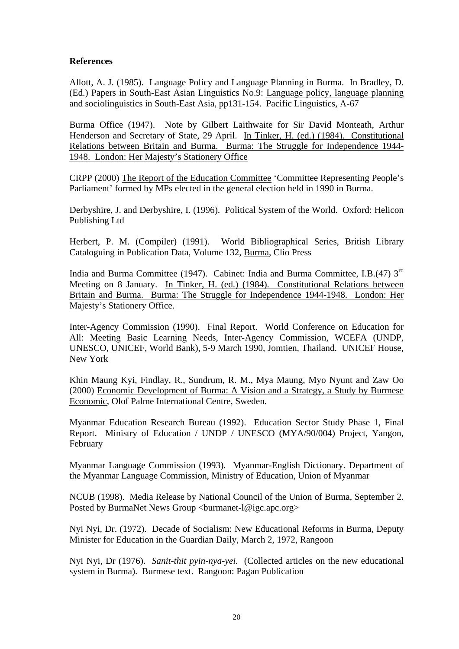# **References**

Allott, A. J. (1985). Language Policy and Language Planning in Burma. In Bradley, D. (Ed.) Papers in South-East Asian Linguistics No.9: Language policy, language planning and sociolinguistics in South-East Asia, pp131-154. Pacific Linguistics, A-67

Burma Office (1947). Note by Gilbert Laithwaite for Sir David Monteath, Arthur Henderson and Secretary of State, 29 April. In Tinker, H. (ed.) (1984). Constitutional Relations between Britain and Burma. Burma: The Struggle for Independence 1944- 1948. London: Her Majesty's Stationery Office

CRPP (2000) The Report of the Education Committee 'Committee Representing People's Parliament' formed by MPs elected in the general election held in 1990 in Burma.

Derbyshire, J. and Derbyshire, I. (1996). Political System of the World. Oxford: Helicon Publishing Ltd

Herbert, P. M. (Compiler) (1991). World Bibliographical Series, British Library Cataloguing in Publication Data, Volume 132, Burma, Clio Press

India and Burma Committee (1947). Cabinet: India and Burma Committee, I.B.(47) 3rd Meeting on 8 January. In Tinker, H. (ed.) (1984). Constitutional Relations between Britain and Burma. Burma: The Struggle for Independence 1944-1948. London: Her Majesty's Stationery Office.

Inter-Agency Commission (1990). Final Report. World Conference on Education for All: Meeting Basic Learning Needs, Inter-Agency Commission, WCEFA (UNDP, UNESCO, UNICEF, World Bank), 5-9 March 1990, Jomtien, Thailand. UNICEF House, New York

Khin Maung Kyi, Findlay, R., Sundrum, R. M., Mya Maung, Myo Nyunt and Zaw Oo (2000) Economic Development of Burma: A Vision and a Strategy, a Study by Burmese Economic, Olof Palme International Centre, Sweden.

Myanmar Education Research Bureau (1992). Education Sector Study Phase 1, Final Report. Ministry of Education / UNDP / UNESCO (MYA/90/004) Project, Yangon, February

Myanmar Language Commission (1993). Myanmar-English Dictionary. Department of the Myanmar Language Commission, Ministry of Education, Union of Myanmar

NCUB (1998). Media Release by National Council of the Union of Burma, September 2. Posted by BurmaNet News Group <br/> <br/> <br/> <br/> <br/>closured-l@igc.apc.org>

Nyi Nyi, Dr. (1972). Decade of Socialism: New Educational Reforms in Burma, Deputy Minister for Education in the Guardian Daily, March 2, 1972, Rangoon

Nyi Nyi, Dr (1976). *Sanit-thit pyin-nya-yei.* (Collected articles on the new educational system in Burma). Burmese text. Rangoon: Pagan Publication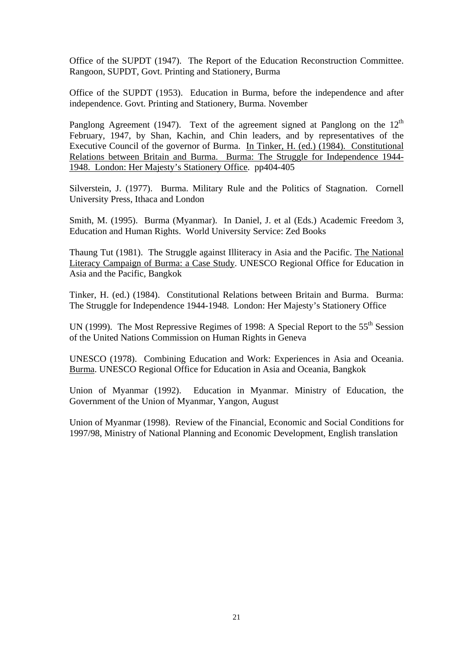Office of the SUPDT (1947). The Report of the Education Reconstruction Committee. Rangoon, SUPDT, Govt. Printing and Stationery, Burma

Office of the SUPDT (1953). Education in Burma, before the independence and after independence. Govt. Printing and Stationery, Burma. November

Panglong Agreement (1947). Text of the agreement signed at Panglong on the  $12<sup>th</sup>$ February, 1947, by Shan, Kachin, and Chin leaders, and by representatives of the Executive Council of the governor of Burma. In Tinker, H. (ed.) (1984). Constitutional Relations between Britain and Burma. Burma: The Struggle for Independence 1944- 1948. London: Her Majesty's Stationery Office. pp404-405

Silverstein, J. (1977). Burma. Military Rule and the Politics of Stagnation. Cornell University Press, Ithaca and London

Smith, M. (1995). Burma (Myanmar). In Daniel, J. et al (Eds.) Academic Freedom 3, Education and Human Rights. World University Service: Zed Books

Thaung Tut (1981). The Struggle against Illiteracy in Asia and the Pacific. The National Literacy Campaign of Burma: a Case Study. UNESCO Regional Office for Education in Asia and the Pacific, Bangkok

Tinker, H. (ed.) (1984). Constitutional Relations between Britain and Burma. Burma: The Struggle for Independence 1944-1948. London: Her Majesty's Stationery Office

UN (1999). The Most Repressive Regimes of 1998: A Special Report to the  $55<sup>th</sup>$  Session of the United Nations Commission on Human Rights in Geneva

UNESCO (1978). Combining Education and Work: Experiences in Asia and Oceania. Burma. UNESCO Regional Office for Education in Asia and Oceania, Bangkok

Union of Myanmar (1992). Education in Myanmar. Ministry of Education, the Government of the Union of Myanmar, Yangon, August

Union of Myanmar (1998). Review of the Financial, Economic and Social Conditions for 1997/98, Ministry of National Planning and Economic Development, English translation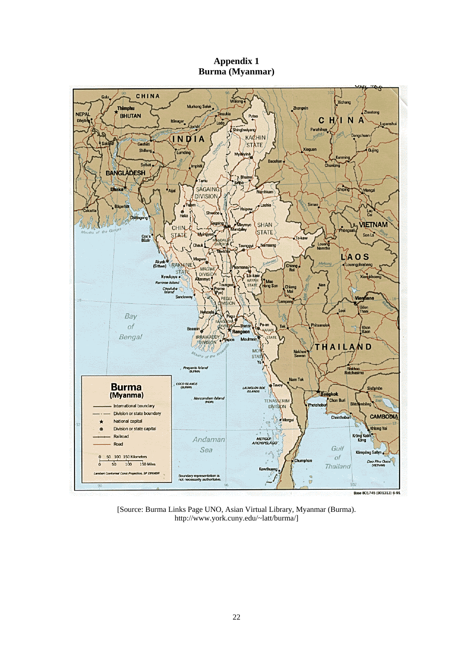**Appendix 1 Burma (Myanmar)** 



[Source: Burma Links Page UNO, Asian Virtual Library, Myanmar (Burma). http://www.york.cuny.edu/~latt/burma/]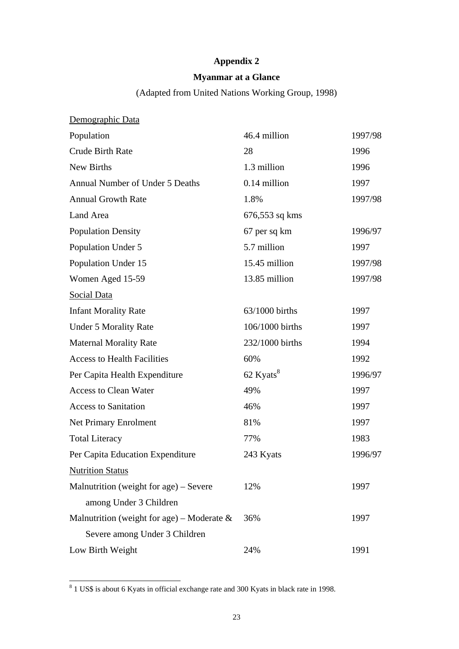# **Appendix 2**

# **Myanmar at a Glance**

(Adapted from United Nations Working Group, 1998)

| Demographic Data                              |                       |         |
|-----------------------------------------------|-----------------------|---------|
| Population                                    | 46.4 million          | 1997/98 |
| <b>Crude Birth Rate</b>                       | 28                    | 1996    |
| New Births                                    | 1.3 million           | 1996    |
| <b>Annual Number of Under 5 Deaths</b>        | 0.14 million          | 1997    |
| <b>Annual Growth Rate</b>                     | 1.8%                  | 1997/98 |
| Land Area                                     | 676,553 sq kms        |         |
| <b>Population Density</b>                     | 67 per sq km          | 1996/97 |
| Population Under 5                            | 5.7 million           | 1997    |
| Population Under 15                           | 15.45 million         | 1997/98 |
| Women Aged 15-59                              | 13.85 million         | 1997/98 |
| Social Data                                   |                       |         |
| <b>Infant Morality Rate</b>                   | 63/1000 births        | 1997    |
| <b>Under 5 Morality Rate</b>                  | 106/1000 births       | 1997    |
| <b>Maternal Morality Rate</b>                 | 232/1000 births       | 1994    |
| <b>Access to Health Facilities</b>            | 60%                   | 1992    |
| Per Capita Health Expenditure                 | 62 Kyats <sup>8</sup> | 1996/97 |
| <b>Access to Clean Water</b>                  | 49%                   | 1997    |
| <b>Access to Sanitation</b>                   | 46%                   | 1997    |
| Net Primary Enrolment                         | 81%                   | 1997    |
| <b>Total Literacy</b>                         | 77%                   | 1983    |
| Per Capita Education Expenditure              | 243 Kyats             | 1996/97 |
| <b>Nutrition Status</b>                       |                       |         |
| Malnutrition (weight for age) – Severe        | 12%                   | 1997    |
| among Under 3 Children                        |                       |         |
| Malnutrition (weight for age) – Moderate $\&$ | 36%                   | 1997    |
| Severe among Under 3 Children                 |                       |         |
| Low Birth Weight                              | 24%                   | 1991    |

<sup>&</sup>lt;sup>8</sup> 1 US\$ is about 6 Kyats in official exchange rate and 300 Kyats in black rate in 1998.